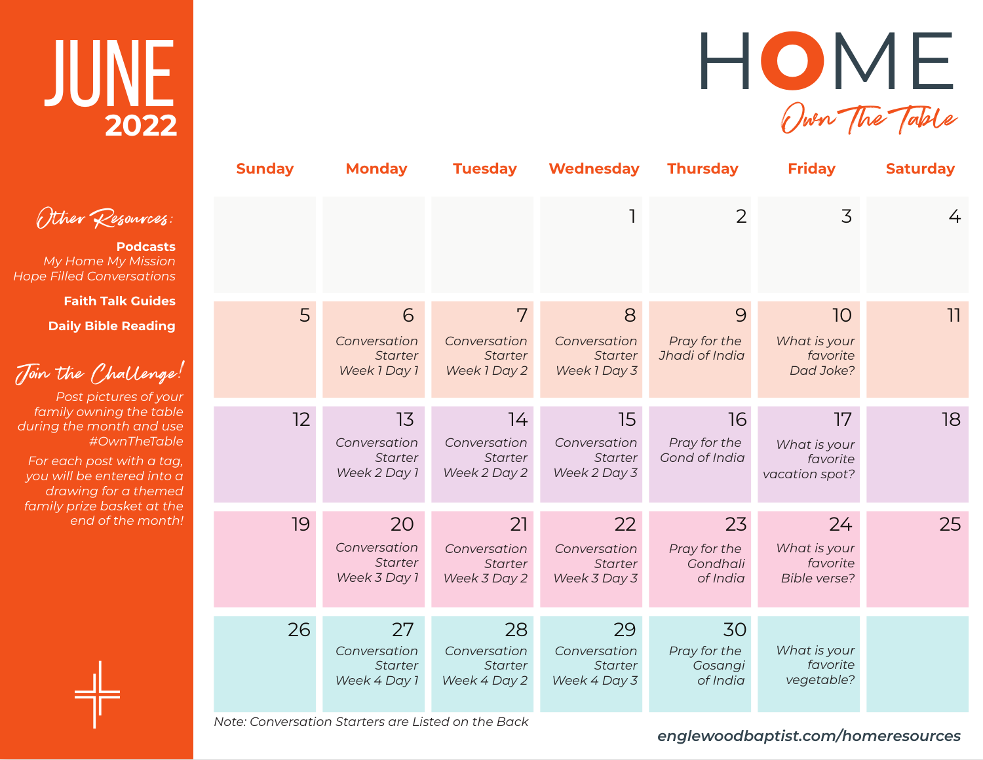## JUNE **2022**

Other Resources:

**Podcasts** *My Home My Mission Hope Filled Conversations*

**Faith Talk Guides**

**Daily Bible Reading**

Join the Challenge!

*Post pictures of your family owning the table during the month and use #OwnTheTable*

*For each post with a tag, you will be entered into a drawing for a themed family prize basket at the end of the month!*

| <b>Sunday</b> | <b>Monday</b>                                        | <b>Tuesday</b>                                       | <b>Wednesday</b>                                     | <b>Thursday</b>                            | <b>Friday</b>                                         | <b>Saturday</b> |
|---------------|------------------------------------------------------|------------------------------------------------------|------------------------------------------------------|--------------------------------------------|-------------------------------------------------------|-----------------|
|               |                                                      |                                                      |                                                      | 2                                          | 3                                                     | 4               |
| 5             | 6<br>Conversation<br><b>Starter</b><br>Week 1 Day 1  | 7<br>Conversation<br><b>Starter</b><br>Week 1 Day 2  | 8<br>Conversation<br><b>Starter</b><br>Week 1 Day 3  | 9<br>Pray for the<br>Jhadi of India        | 10<br>What is your<br>favorite<br>Dad Joke?           | 11              |
| 12            | 13<br>Conversation<br><b>Starter</b><br>Week 2 Day 1 | 14<br>Conversation<br><b>Starter</b><br>Week 2 Day 2 | 15<br>Conversation<br><b>Starter</b><br>Week 2 Day 3 | 16<br>Pray for the<br>Gond of India        | 17<br>What is your<br>favorite<br>vacation spot?      | 18              |
| 19            | 20<br>Conversation<br><b>Starter</b><br>Week 3 Day 1 | 21<br>Conversation<br><b>Starter</b><br>Week 3 Day 2 | 22<br>Conversation<br><b>Starter</b><br>Week 3 Day 3 | 23<br>Pray for the<br>Gondhali<br>of India | 24<br>What is your<br>favorite<br><b>Bible verse?</b> | 25              |
| 26            | 27<br>Conversation<br><b>Starter</b><br>Week 4 Day 1 | 28<br>Conversation<br><b>Starter</b><br>Week 4 Day 2 | 29<br>Conversation<br>Starter<br>Week 4 Day 3        | 30<br>Pray for the<br>Gosangi<br>of India  | What is your<br>favorite<br>vegetable?                |                 |

*Note: Conversation Starters are Listed on the Back*

*englewoodbaptist.com/homeresources*

H**O**ME

Own The Table